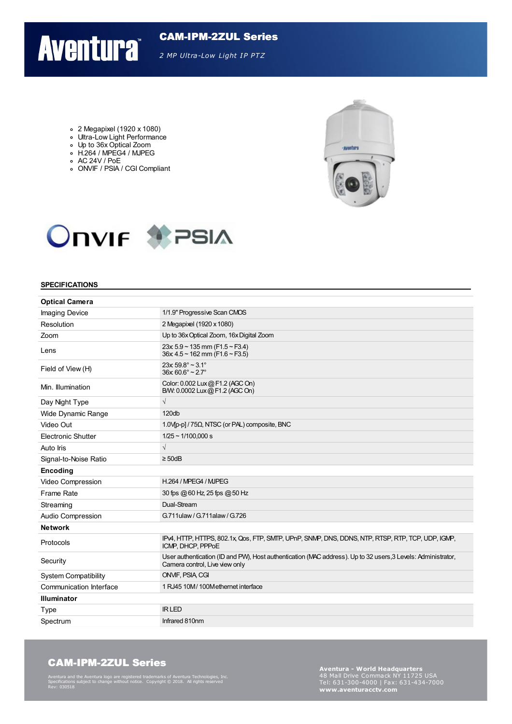# CAM-IPM-2ZUL Series

*2 MP Ultra-Low Light IP PTZ*

- 2 Megapixel (1920 x 1080)
- o Ultra-Low Light Performance
- Up to 36x Optical Zoom H.264 / MPEG4 / MJPEG
- AC 24V / PoE

**Aventura** 

ONVIF / PSIA / CGI Compliant





#### **SPECIFICATIONS**

| <b>Optical Camera</b>       |                                                                                                                                                |  |
|-----------------------------|------------------------------------------------------------------------------------------------------------------------------------------------|--|
| <b>Imaging Device</b>       | 1/1.9" Progressive Scan CMOS                                                                                                                   |  |
| Resolution                  | 2 Megapixel (1920 x 1080)                                                                                                                      |  |
| Zoom                        | Up to 36x Optical Zoom, 16x Digital Zoom                                                                                                       |  |
| Lens                        | $23x 5.9 - 135$ mm (F1.5 ~ F3.4)<br>$36x$ 4.5 ~ 162 mm (F1.6 ~ F3.5)                                                                           |  |
| Field of View (H)           | $23x 59.8^\circ \sim 3.1^\circ$<br>$36x 60.6^\circ \sim 2.7^\circ$                                                                             |  |
| Min. Illumination           | Color: 0.002 Lux @ F1.2 (AGC On)<br>B/W: 0.0002 Lux @ F1.2 (AGC On)                                                                            |  |
| Day Night Type              | $\sqrt{}$                                                                                                                                      |  |
| Wide Dynamic Range          | 120db                                                                                                                                          |  |
| Video Out                   | 1.0V <sub>[p-p]</sub> / 75Ω, NTSC (or PAL) composite, BNC                                                                                      |  |
| <b>Electronic Shutter</b>   | $1/25 \sim 1/100,000 s$                                                                                                                        |  |
| Auto Iris                   | $\sqrt{ }$                                                                                                                                     |  |
| Signal-to-Noise Ratio       | $\geq$ 50dB                                                                                                                                    |  |
| Encoding                    |                                                                                                                                                |  |
| Video Compression           | H.264 / MPEG4 / MJPEG                                                                                                                          |  |
| Frame Rate                  | 30 fps @ 60 Hz, 25 fps @ 50 Hz                                                                                                                 |  |
| Streaming                   | Dual-Stream                                                                                                                                    |  |
| Audio Compression           | G.711ulaw / G.711alaw / G.726                                                                                                                  |  |
| <b>Network</b>              |                                                                                                                                                |  |
| Protocols                   | IPv4, HTTP, HTTPS, 802.1x, Qos, FTP, SMTP, UPnP, SNMP, DNS, DDNS, NTP, RTSP, RTP, TCP, UDP, IGMP,<br>ICMP. DHCP. PPPoE                         |  |
| Security                    | User authentication (ID and PW), Host authentication (MAC address). Up to 32 users, 3 Levels: Administrator,<br>Camera control, Live view only |  |
| <b>System Compatibility</b> | <b>ONVIF. PSIA CGI</b>                                                                                                                         |  |
| Communication Interface     | 1 RJ45 10M/100Methernet interface                                                                                                              |  |
| <b>Illuminator</b>          |                                                                                                                                                |  |
| Type                        | <b>IRLED</b>                                                                                                                                   |  |
| Spectrum                    | Infrared 810nm                                                                                                                                 |  |
|                             |                                                                                                                                                |  |

#### CAM-IPM-2ZUL Series

Aventura and the Aventura logo are registered trademarks of Aventura Technologies, Inc. Specifications subject to change without notice. Copyright © 2018. All rights reserved Rev: 030518

**Aventura - World Headquarters** Tel: 631-300-4000 <sup>|</sup> Fax: 631-434-7000 **www.aventuracctv.com**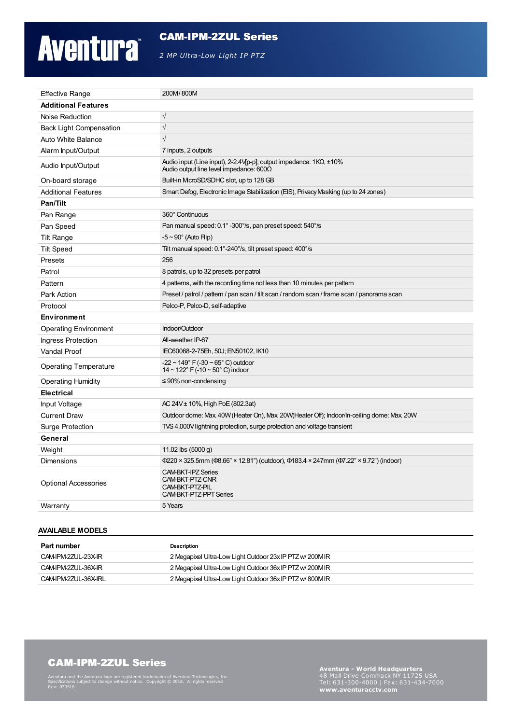# **Aventura**

#### CAM-IPM-2ZUL Series

*2 MP Ultra-Low Light IP PTZ*

| <b>Effective Range</b>         | 200M/800M                                                                                                                          |  |
|--------------------------------|------------------------------------------------------------------------------------------------------------------------------------|--|
| <b>Additional Features</b>     |                                                                                                                                    |  |
| Noise Reduction                | $\sqrt{ }$                                                                                                                         |  |
| <b>Back Light Compensation</b> | $\sqrt{\phantom{a}}$                                                                                                               |  |
| Auto White Balance             | $\sqrt{}$                                                                                                                          |  |
| Alarm Input/Output             | 7 inputs, 2 outputs                                                                                                                |  |
| Audio Input/Output             | Audio input (Line input), 2-2.4V[p-p]; output impedance: $1K\Omega$ , $\pm 10\%$<br>Audio output line level impedance: $600\Omega$ |  |
| On-board storage               | Built-in McroSD/SDHC slot, up to 128 GB                                                                                            |  |
| <b>Additional Features</b>     | Smart Defog, Electronic Image Stabilization (EIS), Privacy Masking (up to 24 zones)                                                |  |
| Pan/Tilt                       |                                                                                                                                    |  |
| Pan Range                      | 360° Continuous                                                                                                                    |  |
| Pan Speed                      | Pan manual speed: 0.1° -300°/s, pan preset speed: 540°/s                                                                           |  |
| <b>Tilt Range</b>              | $-5 \sim 90^\circ$ (Auto Flip)                                                                                                     |  |
| <b>Tilt Speed</b>              | Tilt manual speed: 0.1°-240°/s, tilt preset speed: 400°/s                                                                          |  |
| Presets                        | 256                                                                                                                                |  |
| Patrol                         | 8 patrols, up to 32 presets per patrol                                                                                             |  |
| Pattern                        | 4 patterns, with the recording time not less than 10 minutes per pattern                                                           |  |
| Park Action                    | Preset / patrol / pattern / pan scan / tilt scan / random scan / frame scan / panorama scan                                        |  |
| Protocol                       | Pelco-P, Pelco-D, self-adaptive                                                                                                    |  |
| <b>Environment</b>             |                                                                                                                                    |  |
| <b>Operating Environment</b>   | Indoor/Outdoor                                                                                                                     |  |
| <b>Ingress Protection</b>      | All-weather IP-67                                                                                                                  |  |
| <b>Vandal Proof</b>            | IEC60068-2-75Eh, 50J; EN50102, IK10                                                                                                |  |
| <b>Operating Temperature</b>   | $-22 \sim 149^{\circ}$ F ( $-30 \sim 65^{\circ}$ C) outdoor<br>$14 \sim 122$ ° F (-10 ~ 50° C) indoor                              |  |
| <b>Operating Humidity</b>      | $\leq$ 90% non-condensing                                                                                                          |  |
| <b>Electrical</b>              |                                                                                                                                    |  |
| Input Voltage                  | AC 24V ± 10%, High PoE (802.3at)                                                                                                   |  |
| <b>Current Draw</b>            | Outdoor dome: Max 40W (Heater On), Max 20W (Heater Off); Indoor/In-ceiling dome: Max 20W                                           |  |
| <b>Surge Protection</b>        | TVS 4,000V lightning protection, surge protection and voltage transient                                                            |  |
| General                        |                                                                                                                                    |  |
| Weight                         | 11.02 lbs $(5000 g)$                                                                                                               |  |
| <b>Dimensions</b>              | Ф220 × 325.5mm (Ф8.66" × 12.81") (outdoor), Ф183.4 × 247mm (Ф7.22" × 9.72") (indoor)                                               |  |
| <b>Optional Accessories</b>    | <b>CAM-BKT-IPZ Series</b><br>CAM-BKT-PTZ-CNR<br>CAM-BKT-PTZ-PIL<br>CAM-BKT-PTZ-PPT Series                                          |  |
| Warranty                       | 5 Years                                                                                                                            |  |

#### **AVAILABLE MODELS**

| Part number          | Description                                               |
|----------------------|-----------------------------------------------------------|
| CAM-IPM-2ZUL-23X-IR  | 2 Megapixel Ultra-Low Light Outdoor 23x IP PTZ w/ 200M IR |
| CAM-IPM-2ZUL-36X-IR  | 2 Megapixel Ultra-Low Light Outdoor 36x IP PTZ w/200M IR  |
| CAM-IPM-2ZUL-36X-IRL | 2 Megapixel Ultra-Low Light Outdoor 36x IP PTZ w/800MIR   |

## CAM-IPM-2ZUL Series

Aventura and the Aventura logo are registered trademarks of Aventura Technologies, Inc. Specifications subject to change without notice. Copyright © 2018. All rights reserved Rev: 030518

**Aventura - World Headquarters** Tel: 631-300-4000 <sup>|</sup> Fax: 631-434-7000 **www.aventuracctv.com**